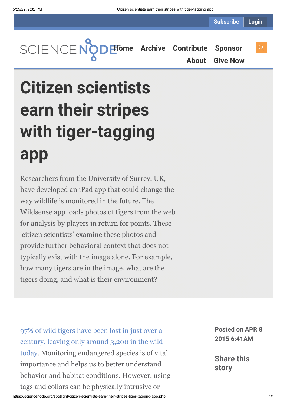**[Home](https://sciencenode.org/) [Archive](https://sciencenode.org/archive/index.php) [Contribute](https://sciencenode.org/contribute/index.php) [Sponsor](https://sciencenode.org/sponsor/index.php)**

**[About](https://sciencenode.org/about/index.php) [Give Now](https://sciencenode.org/donate/index.php)**

## **Citizen scientists earn their stripes with tiger-tagging app**

Researchers from the University of Surrey, UK, have developed an iPad app that could change the way wildlife is monitored in the future. The Wildsense app loads photos of tigers from the web for analysis by players in return for points. These 'citizen scientists' examine these photos and provide further behavioral context that does not typically exist with the image alone. For example, how many tigers are in the image, what are the tigers doing, and what is their environment?

97% of wild tigers have been lost in just over a [century, leaving only around 3,200 in the wild](http://www.worldwildlife.org/species/tiger) today. Monitoring endangered species is of vital importance and helps us to better understand behavior and habitat conditions. However, using tags and collars can be physically intrusive or

**Posted on APR 8 2015 6:41AM**

**Share this story**

https://sciencenode.org/spotlight/citizen-scientists-earn-their-stripes-tiger-tagging-app.php 1/4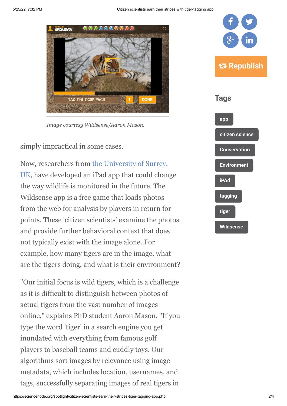

*Image courtesy Wildsense/Aaron Mason.*

simply impractical in some cases.

[Now, researchers from the University of Surrey,](http://www.surrey.ac.uk/) UK, have developed an iPad app that could change the way wildlife is monitored in the future. The Wildsense app is a free game that loads photos from the web for analysis by players in return for points. These 'citizen scientists' examine the photos and provide further behavioral context that does not typically exist with the image alone. For example, how many tigers are in the image, what are the tigers doing, and what is their environment?

"Our initial focus is wild tigers, which is a challenge as it is difficult to distinguish between photos of actual tigers from the vast number of images online," explains PhD student Aaron Mason. "If you type the word 'tiger' in a search engine you get inundated with everything from famous golf players to baseball teams and cuddly toys. Our algorithms sort images by relevance using image metadata, which includes location, usernames, and tags, successfully separating images of real tigers in

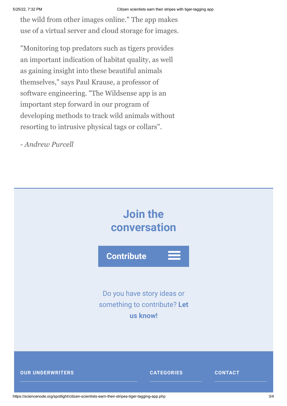the wild from other images online." The app makes use of a virtual server and cloud storage for images.

"Monitoring top predators such as tigers provides an important indication of habitat quality, as well as gaining insight into these beautiful animals themselves," says Paul Krause, a professor of software engineering. "The Wildsense app is an important step forward in our program of developing methods to track wild animals without resorting to intrusive physical tags or collars".

*- Andrew Purcell*